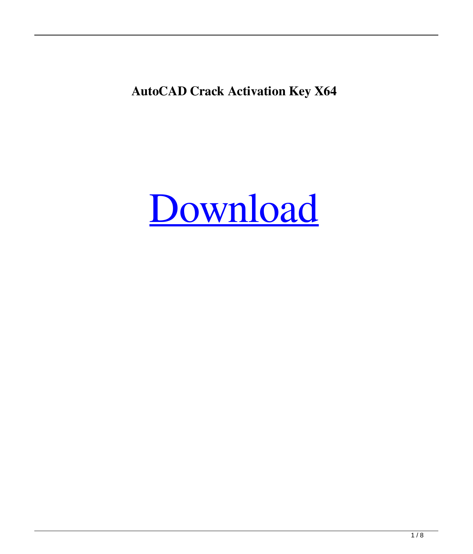**AutoCAD Crack Activation Key X64**

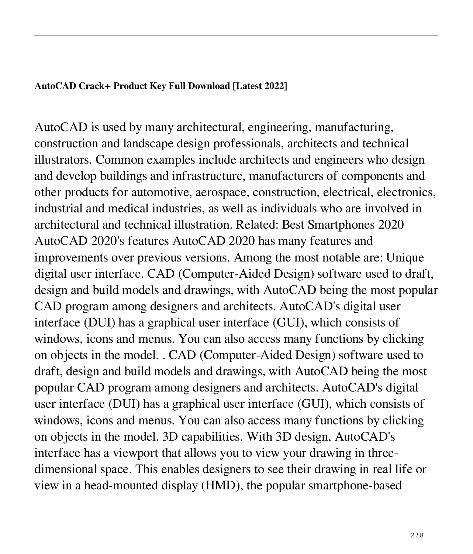## **AutoCAD Crack+ Product Key Full Download [Latest 2022]**

AutoCAD is used by many architectural, engineering, manufacturing, construction and landscape design professionals, architects and technical illustrators. Common examples include architects and engineers who design and develop buildings and infrastructure, manufacturers of components and other products for automotive, aerospace, construction, electrical, electronics, industrial and medical industries, as well as individuals who are involved in architectural and technical illustration. Related: Best Smartphones 2020 AutoCAD 2020's features AutoCAD 2020 has many features and improvements over previous versions. Among the most notable are: Unique digital user interface. CAD (Computer-Aided Design) software used to draft, design and build models and drawings, with AutoCAD being the most popular CAD program among designers and architects. AutoCAD's digital user interface (DUI) has a graphical user interface (GUI), which consists of windows, icons and menus. You can also access many functions by clicking on objects in the model. . CAD (Computer-Aided Design) software used to draft, design and build models and drawings, with AutoCAD being the most popular CAD program among designers and architects. AutoCAD's digital user interface (DUI) has a graphical user interface (GUI), which consists of windows, icons and menus. You can also access many functions by clicking on objects in the model. 3D capabilities. With 3D design, AutoCAD's interface has a viewport that allows you to view your drawing in threedimensional space. This enables designers to see their drawing in real life or view in a head-mounted display (HMD), the popular smartphone-based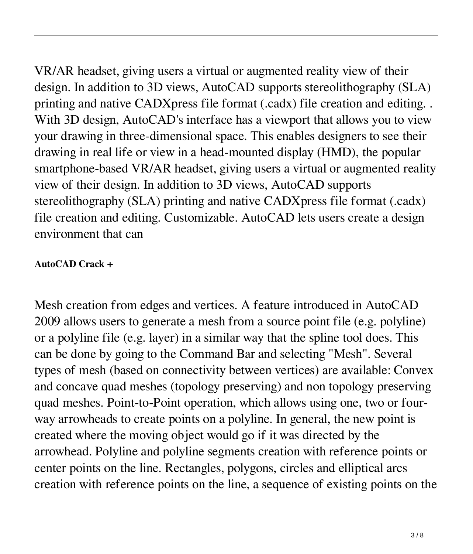VR/AR headset, giving users a virtual or augmented reality view of their design. In addition to 3D views, AutoCAD supports stereolithography (SLA) printing and native CADXpress file format (.cadx) file creation and editing. . With 3D design, AutoCAD's interface has a viewport that allows you to view your drawing in three-dimensional space. This enables designers to see their drawing in real life or view in a head-mounted display (HMD), the popular smartphone-based VR/AR headset, giving users a virtual or augmented reality view of their design. In addition to 3D views, AutoCAD supports stereolithography (SLA) printing and native CADXpress file format (.cadx) file creation and editing. Customizable. AutoCAD lets users create a design environment that can

## **AutoCAD Crack +**

Mesh creation from edges and vertices. A feature introduced in AutoCAD 2009 allows users to generate a mesh from a source point file (e.g. polyline) or a polyline file (e.g. layer) in a similar way that the spline tool does. This can be done by going to the Command Bar and selecting "Mesh". Several types of mesh (based on connectivity between vertices) are available: Convex and concave quad meshes (topology preserving) and non topology preserving quad meshes. Point-to-Point operation, which allows using one, two or fourway arrowheads to create points on a polyline. In general, the new point is created where the moving object would go if it was directed by the arrowhead. Polyline and polyline segments creation with reference points or center points on the line. Rectangles, polygons, circles and elliptical arcs creation with reference points on the line, a sequence of existing points on the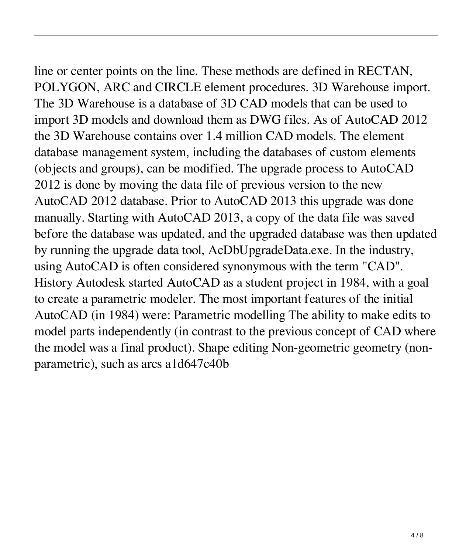line or center points on the line. These methods are defined in RECTAN, POLYGON, ARC and CIRCLE element procedures. 3D Warehouse import. The 3D Warehouse is a database of 3D CAD models that can be used to import 3D models and download them as DWG files. As of AutoCAD 2012 the 3D Warehouse contains over 1.4 million CAD models. The element database management system, including the databases of custom elements (objects and groups), can be modified. The upgrade process to AutoCAD 2012 is done by moving the data file of previous version to the new AutoCAD 2012 database. Prior to AutoCAD 2013 this upgrade was done manually. Starting with AutoCAD 2013, a copy of the data file was saved before the database was updated, and the upgraded database was then updated by running the upgrade data tool, AcDbUpgradeData.exe. In the industry, using AutoCAD is often considered synonymous with the term "CAD". History Autodesk started AutoCAD as a student project in 1984, with a goal to create a parametric modeler. The most important features of the initial AutoCAD (in 1984) were: Parametric modelling The ability to make edits to model parts independently (in contrast to the previous concept of CAD where the model was a final product). Shape editing Non-geometric geometry (nonparametric), such as arcs a1d647c40b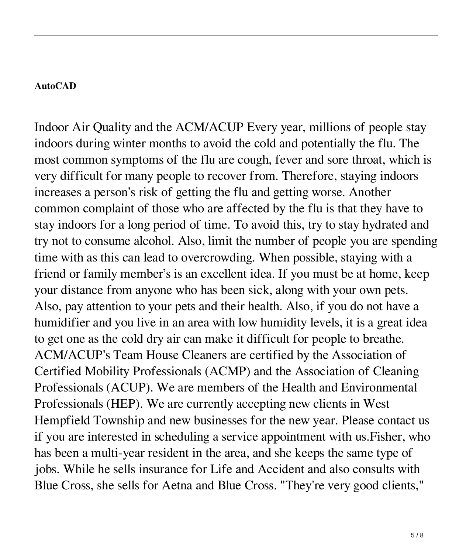## **AutoCAD**

Indoor Air Quality and the ACM/ACUP Every year, millions of people stay indoors during winter months to avoid the cold and potentially the flu. The most common symptoms of the flu are cough, fever and sore throat, which is very difficult for many people to recover from. Therefore, staying indoors increases a person's risk of getting the flu and getting worse. Another common complaint of those who are affected by the flu is that they have to stay indoors for a long period of time. To avoid this, try to stay hydrated and try not to consume alcohol. Also, limit the number of people you are spending time with as this can lead to overcrowding. When possible, staying with a friend or family member's is an excellent idea. If you must be at home, keep your distance from anyone who has been sick, along with your own pets. Also, pay attention to your pets and their health. Also, if you do not have a humidifier and you live in an area with low humidity levels, it is a great idea to get one as the cold dry air can make it difficult for people to breathe. ACM/ACUP's Team House Cleaners are certified by the Association of Certified Mobility Professionals (ACMP) and the Association of Cleaning Professionals (ACUP). We are members of the Health and Environmental Professionals (HEP). We are currently accepting new clients in West Hempfield Township and new businesses for the new year. Please contact us if you are interested in scheduling a service appointment with us.Fisher, who has been a multi-year resident in the area, and she keeps the same type of jobs. While he sells insurance for Life and Accident and also consults with Blue Cross, she sells for Aetna and Blue Cross. "They're very good clients,"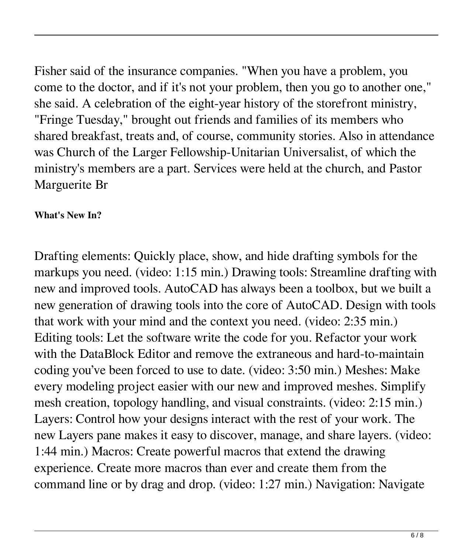Fisher said of the insurance companies. "When you have a problem, you come to the doctor, and if it's not your problem, then you go to another one," she said. A celebration of the eight-year history of the storefront ministry, "Fringe Tuesday," brought out friends and families of its members who shared breakfast, treats and, of course, community stories. Also in attendance was Church of the Larger Fellowship-Unitarian Universalist, of which the ministry's members are a part. Services were held at the church, and Pastor Marguerite Br

## **What's New In?**

Drafting elements: Quickly place, show, and hide drafting symbols for the markups you need. (video: 1:15 min.) Drawing tools: Streamline drafting with new and improved tools. AutoCAD has always been a toolbox, but we built a new generation of drawing tools into the core of AutoCAD. Design with tools that work with your mind and the context you need. (video: 2:35 min.) Editing tools: Let the software write the code for you. Refactor your work with the DataBlock Editor and remove the extraneous and hard-to-maintain coding you've been forced to use to date. (video: 3:50 min.) Meshes: Make every modeling project easier with our new and improved meshes. Simplify mesh creation, topology handling, and visual constraints. (video: 2:15 min.) Layers: Control how your designs interact with the rest of your work. The new Layers pane makes it easy to discover, manage, and share layers. (video: 1:44 min.) Macros: Create powerful macros that extend the drawing experience. Create more macros than ever and create them from the command line or by drag and drop. (video: 1:27 min.) Navigation: Navigate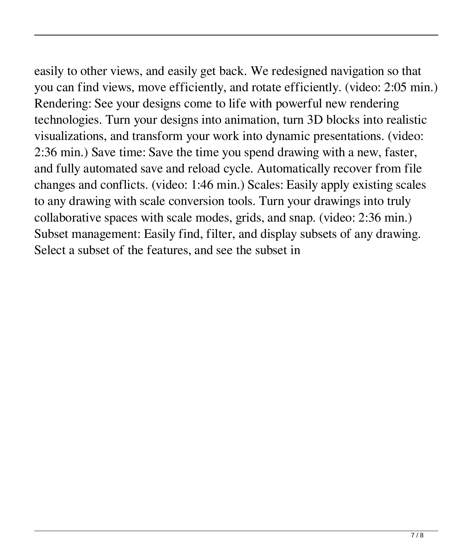easily to other views, and easily get back. We redesigned navigation so that you can find views, move efficiently, and rotate efficiently. (video: 2:05 min.) Rendering: See your designs come to life with powerful new rendering technologies. Turn your designs into animation, turn 3D blocks into realistic visualizations, and transform your work into dynamic presentations. (video: 2:36 min.) Save time: Save the time you spend drawing with a new, faster, and fully automated save and reload cycle. Automatically recover from file changes and conflicts. (video: 1:46 min.) Scales: Easily apply existing scales to any drawing with scale conversion tools. Turn your drawings into truly collaborative spaces with scale modes, grids, and snap. (video: 2:36 min.) Subset management: Easily find, filter, and display subsets of any drawing. Select a subset of the features, and see the subset in